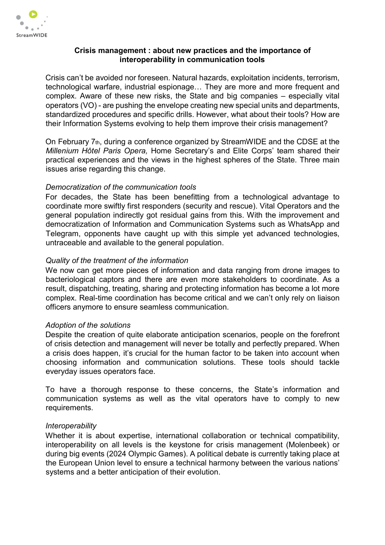

## Crisis management : about new practices and the importance of interoperability in communication tools

Crisis can't be avoided nor foreseen. Natural hazards, exploitation incidents, terrorism, technological warfare, industrial espionage… They are more and more frequent and complex. Aware of these new risks, the State and big companies – especially vital operators (VO) - are pushing the envelope creating new special units and departments, standardized procedures and specific drills. However, what about their tools? How are their Information Systems evolving to help them improve their crisis management?

On February 7th, during a conference organized by StreamWIDE and the CDSE at the Millenium Hôtel Paris Opera, Home Secretary's and Elite Corps' team shared their practical experiences and the views in the highest spheres of the State. Three main issues arise regarding this change.

## Democratization of the communication tools

For decades, the State has been benefitting from a technological advantage to coordinate more swiftly first responders (security and rescue). Vital Operators and the general population indirectly got residual gains from this. With the improvement and democratization of Information and Communication Systems such as WhatsApp and Telegram, opponents have caught up with this simple yet advanced technologies, untraceable and available to the general population.

# Quality of the treatment of the information

We now can get more pieces of information and data ranging from drone images to bacteriological captors and there are even more stakeholders to coordinate. As a result, dispatching, treating, sharing and protecting information has become a lot more complex. Real-time coordination has become critical and we can't only rely on liaison officers anymore to ensure seamless communication.

#### Adoption of the solutions

Despite the creation of quite elaborate anticipation scenarios, people on the forefront of crisis detection and management will never be totally and perfectly prepared. When a crisis does happen, it's crucial for the human factor to be taken into account when choosing information and communication solutions. These tools should tackle everyday issues operators face.

To have a thorough response to these concerns, the State's information and communication systems as well as the vital operators have to comply to new requirements.

#### **Interoperability**

Whether it is about expertise, international collaboration or technical compatibility, interoperability on all levels is the keystone for crisis management (Molenbeek) or during big events (2024 Olympic Games). A political debate is currently taking place at the European Union level to ensure a technical harmony between the various nations' systems and a better anticipation of their evolution.